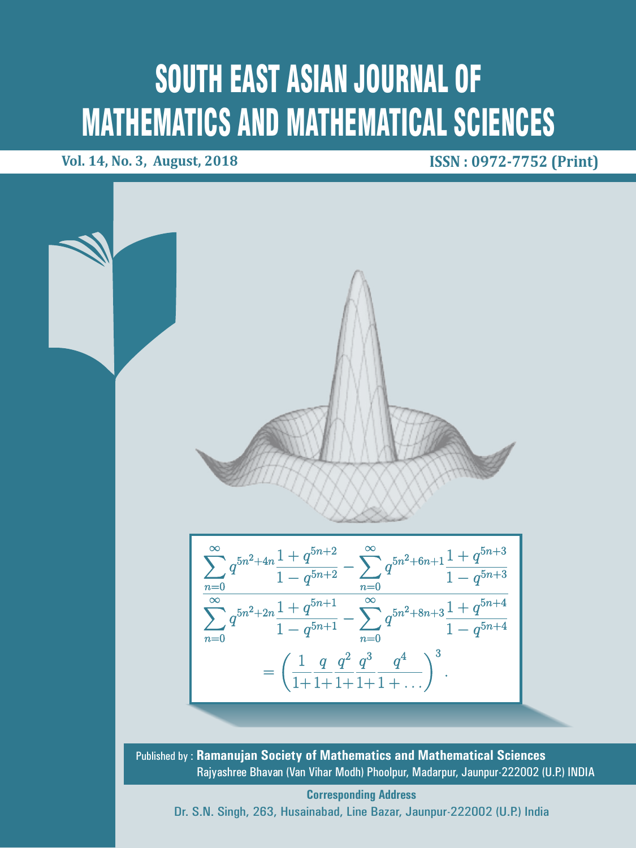# SOUTH EAST ASIAN JOURNAL OF MATHEMATICS AND MATHEMATICAL SCIENCES

**Vol. 14, No. 3, August, 2018 ISSN : 0972-7752 (Print)**



**Corresponding Address** Dr. S.N. Singh, 263, Husainabad, Line Bazar, Jaunpur-222002 (U.P.) India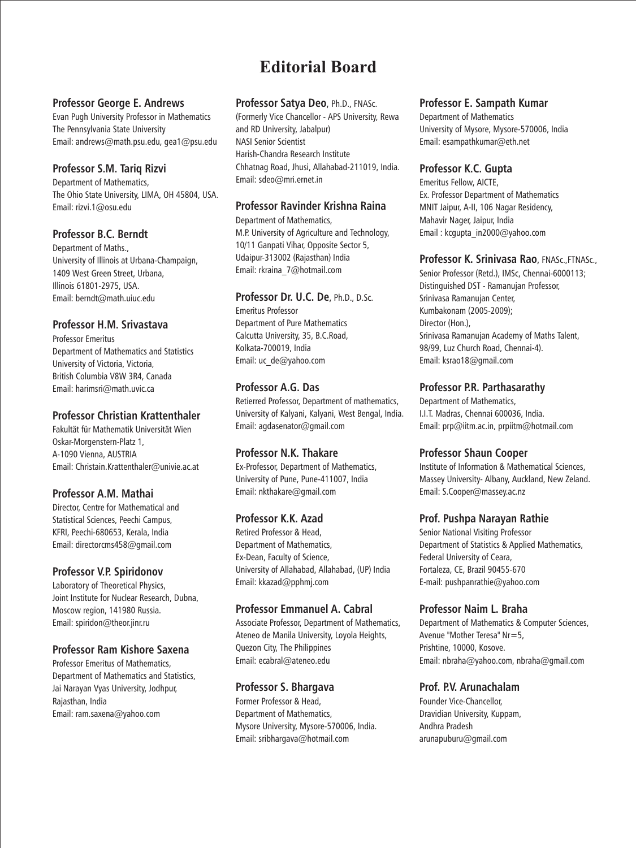## **Editorial Board**

#### **Professor George E. Andrews**

Evan Pugh University Professor in Mathematics The Pennsylvania State University Email: andrews@math.psu.edu, gea1@psu.edu

#### **Professor S.M. Tariq Rizvi**

Department of Mathematics, The Ohio State University, LIMA, OH 45804, USA. Email: rizvi.1@osu.edu

#### **Professor B.C. Berndt**

Department of Maths., University of Illinois at Urbana-Champaign, 1409 West Green Street, Urbana, Illinois 61801-2975, USA. Email: berndt@math.uiuc.edu

#### **Professor H.M. Srivastava**

Professor Emeritus Department of Mathematics and Statistics University of Victoria, Victoria, British Columbia V8W 3R4, Canada Email: harimsri@math.uvic.ca

#### **Professor Christian Krattenthaler**

Fakultät für Mathematik Universität Wien Oskar-Morgenstern-Platz 1, A-1090 Vienna, AUSTRIA Email: Christain.Krattenthaler@univie.ac.at

### **Professor A.M. Mathai**

Director, Centre for Mathematical and Statistical Sciences, Peechi Campus, KFRI, Peechi-680653, Kerala, India Email: directorcms458@gmail.com

### **Professor V.P. Spiridonov**

Laboratory of Theoretical Physics, Joint Institute for Nuclear Research, Dubna, Moscow region, 141980 Russia. Email: spiridon@theor.jinr.ru

### **Professor Ram Kishore Saxena**

Professor Emeritus of Mathematics, Department of Mathematics and Statistics, Jai Narayan Vyas University, Jodhpur, Rajasthan, India Email: ram.saxena@yahoo.com

#### **Professor Satya Deo**, Ph.D., FNASc.

(Formerly Vice Chancellor - APS University, Rewa and RD University, Jabalpur) NASI Senior Scientist Harish-Chandra Research Institute Chhatnag Road, Jhusi, Allahabad-211019, India. Email: sdeo@mri.ernet.in

#### **Professor Ravinder Krishna Raina**

Department of Mathematics, M.P. University of Agriculture and Technology, 10/11 Ganpati Vihar, Opposite Sector 5, Udaipur-313002 (Rajasthan) India Email: rkraina\_7@hotmail.com

#### **Professor Dr. U.C. De**, Ph.D., D.Sc.

Emeritus Professor Department of Pure Mathematics Calcutta University, 35, B.C.Road, Kolkata-700019, India Email: uc\_de@yahoo.com

### **Professor A.G. Das**

Retierred Professor, Department of mathematics, University of Kalyani, Kalyani, West Bengal, India. Email: agdasenator@gmail.com

### **Professor N.K. Thakare**

Ex-Professor, Department of Mathematics, University of Pune, Pune-411007, India Email: nkthakare@gmail.com

#### **Professor K.K. Azad**

Retired Professor & Head, Department of Mathematics, Ex-Dean, Faculty of Science, University of Allahabad, Allahabad, (UP) India Email: kkazad@pphmj.com

### **Professor Emmanuel A. Cabral**

Associate Professor, Department of Mathematics, Ateneo de Manila University, Loyola Heights, Quezon City, The Philippines Email: ecabral@ateneo.edu

#### **Professor S. Bhargava**

Former Professor & Head, Department of Mathematics, Mysore University, Mysore-570006, India. Email: sribhargava@hotmail.com

#### **Professor E. Sampath Kumar**

Department of Mathematics University of Mysore, Mysore-570006, India Email: esampathkumar@eth.net

#### **Professor K.C. Gupta**

Emeritus Fellow, AICTE, Ex. Professor Department of Mathematics MNIT Jaipur, A-II, 106 Nagar Residency, Mahavir Nager, Jaipur, India Email : kcgupta\_in2000@yahoo.com

#### **Professor K. Srinivasa Rao**, FNASc.,FTNASc.,

Senior Professor (Retd.), IMSc, Chennai-6000113; Distinguished DST - Ramanujan Professor, Srinivasa Ramanujan Center, Kumbakonam (2005-2009); Director (Hon.), Srinivasa Ramanujan Academy of Maths Talent, 98/99, Luz Church Road, Chennai-4). Email: ksrao18@gmail.com

#### **Professor P.R. Parthasarathy**

Department of Mathematics, I.I.T. Madras, Chennai 600036, India. Email: prp@iitm.ac.in, prpiitm@hotmail.com

### **Professor Shaun Cooper**

Institute of Information & Mathematical Sciences, Massey University- Albany, Auckland, New Zeland. Email: S.Cooper@massey.ac.nz

#### **Prof. Pushpa Narayan Rathie**

Senior National Visiting Professor Department of Statistics & Applied Mathematics, Federal University of Ceara, Fortaleza, CE, Brazil 90455-670 E-mail: pushpanrathie@yahoo.com

#### **Professor Naim L. Braha**

Department of Mathematics & Computer Sciences, Avenue "Mother Teresa" Nr=5, Prishtine, 10000, Kosove. Email: nbraha@yahoo.com, nbraha@gmail.com

### **Prof. P.V. Arunachalam**

Founder Vice-Chancellor, Dravidian University, Kuppam, Andhra Pradesh arunapuburu@gmail.com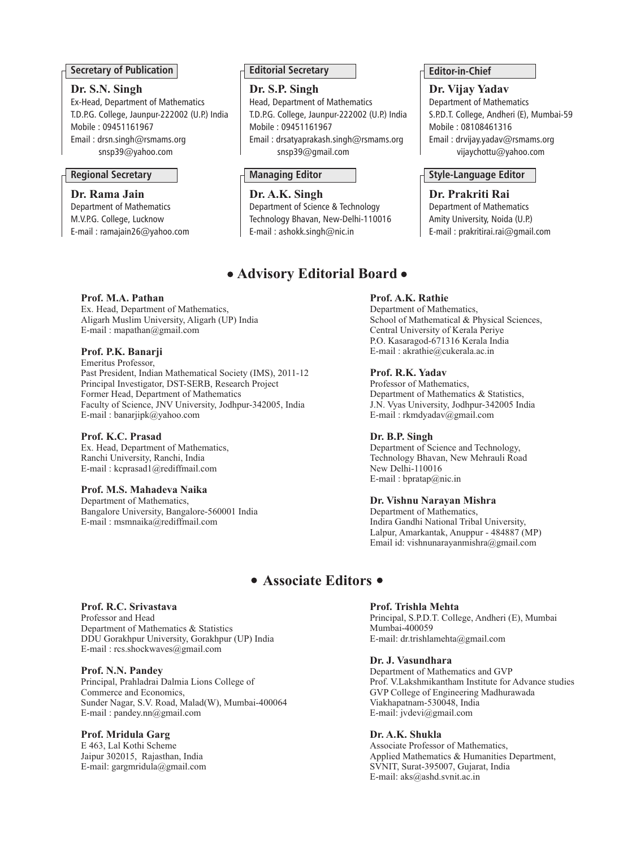#### **Secretary of Publication**

#### **Dr. S.N. Singh**

Ex-Head, Department of Mathematics T.D.P.G. College, Jaunpur-222002 (U.P.) India Mobile : 09451161967 Email : drsn.singh@rsmams.org snsp39@yahoo.com

Department of Mathematics M.V.P.G. College, Lucknow E-mail : ramajain26@yahoo.com **Editorial Secretary**

**Dr. S.P. Singh** Head, Department of Mathematics T.D.P.G. College, Jaunpur-222002 (U.P.) India

Mobile : 09451161967 Email : drsatyaprakash.singh@rsmams.org snsp39@gmail.com

Department of Science & Technology Technology Bhavan, New-Delhi-110016 E-mail : ashokk.singh@nic.in **Dr. Rama Jain Dr. A.K. Singh Dr. Prakriti Rai**

### **Advisory Editorial Board**

#### **Prof. M.A. Pathan**

Ex. Head, Department of Mathematics, Aligarh Muslim University, Aligarh (UP) India E-mail : mapathan@gmail.com

#### **Prof. P.K. Banarji**

Emeritus Professor, Past President, Indian Mathematical Society (IMS), 2011-12 Principal Investigator, DST-SERB, Research Project Former Head, Department of Mathematics Faculty of Science, JNV University, Jodhpur-342005, India E-mail : banarjipk@yahoo.com

#### **Prof. K.C. Prasad**

Ex. Head, Department of Mathematics, Ranchi University, Ranchi, India E-mail : kcprasad1@rediffmail.com

#### **Prof. M.S. Mahadeva Naika**

Department of Mathematics, Bangalore University, Bangalore-560001 India E-mail : msmnaika@rediffmail.com

#### **Prof. A.K. Rathie**

Department of Mathematics, School of Mathematical & Physical Sciences, Central University of Kerala Periye P.O. Kasaragod-671316 Kerala India E-mail : akrathie@cukerala.ac.in

#### **Prof. R.K. Yadav**

Professor of Mathematics, Department of Mathematics & Statistics, J.N. Vyas University, Jodhpur-342005 India E-mail : rkmdyadav@gmail.com

#### **Dr. B.P. Singh**

Department of Science and Technology, Technology Bhavan, New Mehrauli Road New Delhi-110016 E-mail : bpratap@nic.in

#### **Dr. Vishnu Narayan Mishra**

Department of Mathematics, Indira Gandhi National Tribal University, Lalpur, Amarkantak, Anuppur - 484887 (MP) Email id: vishnunarayanmishra@gmail.com

### **Associate Editors**

#### **Prof. Trishla Mehta**

Principal, S.P.D.T. College, Andheri (E), Mumbai Mumbai-400059 E-mail: dr.trishlamehta@gmail.com

#### **Dr. J. Vasundhara**

Department of Mathematics and GVP Prof. V.Lakshmikantham Institute for Advance studies GVP College of Engineering Madhurawada Viakhapatnam-530048, India E-mail: jvdevi@gmail.com

#### **Dr. A.K. Shukla**

Associate Professor of Mathematics, Applied Mathematics & Humanities Department, SVNIT, Surat-395007, Gujarat, India E-mail: aks@ashd.svnit.ac.in

Professor and Head Department of Mathematics & Statistics DDU Gorakhpur University, Gorakhpur (UP) India E-mail : rcs.shockwaves@gmail.com **Prof. N.N. Pandey**

Principal, Prahladrai Dalmia Lions College of Commerce and Economics, Sunder Nagar, S.V. Road, Malad(W), Mumbai-400064 E-mail : pandey.nn@gmail.com

#### **Prof. Mridula Garg**

**Prof. R.C. Srivastava**

E 463, Lal Kothi Scheme Jaipur 302015, Rajasthan, India E-mail: gargmridula@gmail.com **Editor-in-Chief**

**Dr. Vijay Yadav** Department of Mathematics S.P.D.T. College, Andheri (E), Mumbai-59 Mobile : 08108461316 Email : drvijay.yadav@rsmams.org vijaychottu@yahoo.com

#### **Regional Secretary Managing Editor Style-Language Editor**

Department of Mathematics Amity University, Noida (U.P.) E-mail : prakritirai.rai@gmail.com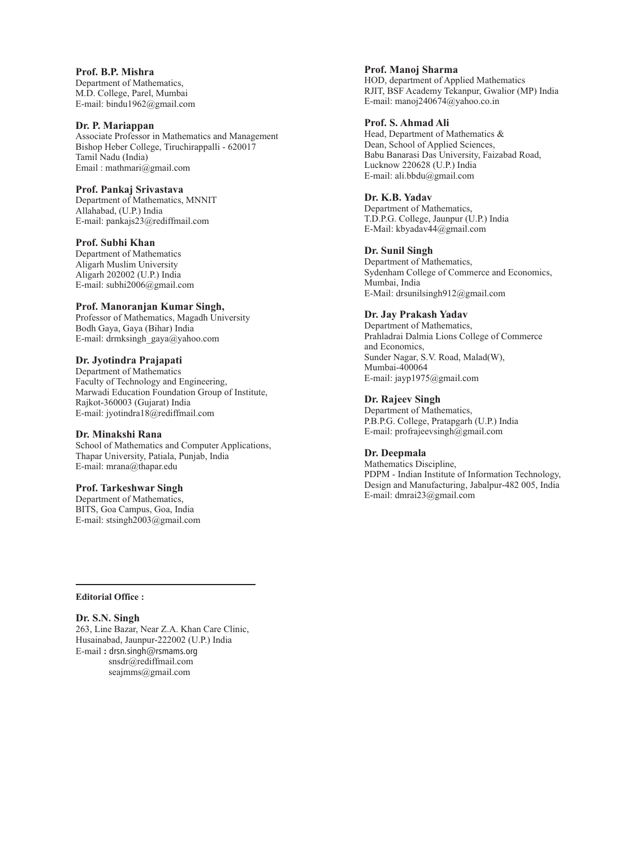**Prof. B.P. Mishra** Department of Mathematics, M.D. College, Parel, Mumbai E-mail: bindu1962@gmail.com

#### **Dr. P. Mariappan**

Associate Professor in Mathematics and Management Bishop Heber College, Tiruchirappalli - 620017 Tamil Nadu (India) Email : mathmari@gmail.com

#### **Prof. Pankaj Srivastava**

Department of Mathematics, MNNIT Allahabad, (U.P.) India E-mail: pankajs23@rediffmail.com

#### **Prof. Subhi Khan**

Department of Mathematics Aligarh Muslim University Aligarh 202002 (U.P.) India E-mail: subhi2006@gmail.com

#### **Prof. Manoranjan Kumar Singh,**

Professor of Mathematics, Magadh University Bodh Gaya, Gaya (Bihar) India E-mail: drmksingh\_gaya@yahoo.com

#### **Dr. Jyotindra Prajapati**

Department of Mathematics Faculty of Technology and Engineering, Marwadi Education Foundation Group of Institute, Rajkot-360003 (Gujarat) India E-mail: jyotindra18@rediffmail.com

#### **Dr. Minakshi Rana**

School of Mathematics and Computer Applications, Thapar University, Patiala, Punjab, India E-mail: mrana@thapar.edu

#### **Prof. Tarkeshwar Singh**

Department of Mathematics, BITS, Goa Campus, Goa, India E-mail: stsingh2003@gmail.com **Prof. Manoj Sharma** HOD, department of Applied Mathematics

RJIT, BSF Academy Tekanpur, Gwalior (MP) India E-mail: manoj240674@yahoo.co.in

#### **Prof. S. Ahmad Ali**

Head, Department of Mathematics & Dean, School of Applied Sciences, Babu Banarasi Das University, Faizabad Road, Lucknow 220628 (U.P.) India E-mail: ali.bbdu@gmail.com

**Dr. K.B. Yadav** Department of Mathematics, T.D.P.G. College, Jaunpur (U.P.) India E-Mail: kbyadav44@gmail.com

**Dr. Sunil Singh**

Department of Mathematics, Sydenham College of Commerce and Economics, Mumbai, India E-Mail: drsunilsingh912@gmail.com

#### **Dr. Jay Prakash Yadav**

Department of Mathematics. Prahladrai Dalmia Lions College of Commerce and Economics, Sunder Nagar, S.V. Road, Malad(W), Mumbai-400064 E-mail: jayp1975@gmail.com

**Dr. Rajeev Singh**

Department of Mathematics, P.B.P.G. College, Pratapgarh (U.P.) India E-mail: profrajeevsingh@gmail.com

#### **Dr. Deepmala**

Mathematics Discipline, PDPM - Indian Institute of Information Technology, Design and Manufacturing, Jabalpur-482 005, India E-mail: dmrai23@gmail.com

**Editorial Office :**

#### **Dr. S.N. Singh**

263, Line Bazar, Near Z.A. Khan Care Clinic, Husainabad, Jaunpur-222002 (U.P.) India E-mail **:** drsn.singh@rsmams.org snsdr@rediffmail.com seajmms@gmail.com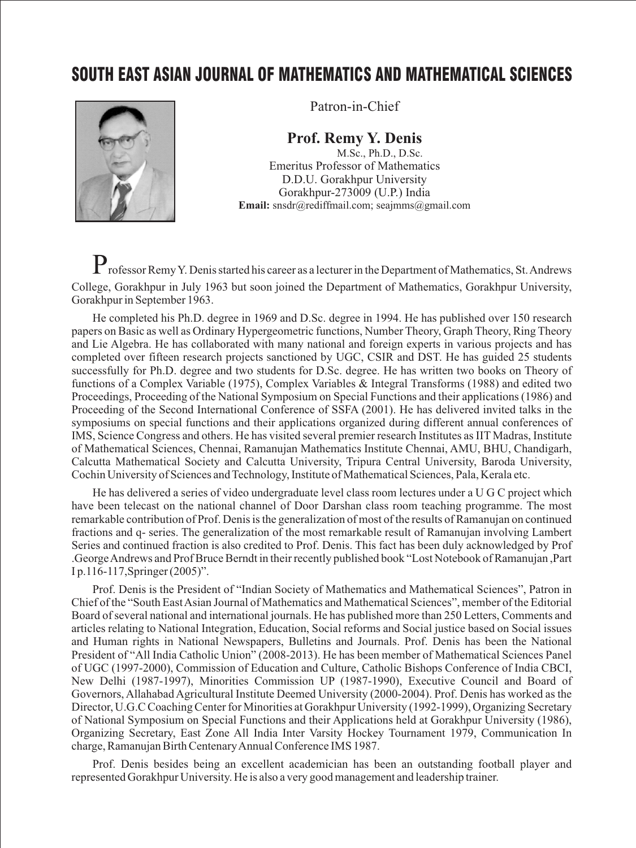## SOUTH EAST ASIAN JOURNAL OF MATHEMATICS AND MATHEMATICAL SCIENCES



Patron-in-Chief

## **Prof. Remy Y. Denis**

M.Sc., Ph.D., D.Sc. Emeritus Professor of Mathematics D.D.U. Gorakhpur University Gorakhpur-273009 (U.P.) India **Email:** snsdr@rediffmail.com; seajmms@gmail.com

Professor Remy Y. Denis started his career as a lecturer in the Department of Mathematics, St. Andrews College, Gorakhpur in July 1963 but soon joined the Department of Mathematics, Gorakhpur University, Gorakhpur in September 1963.

He completed his Ph.D. degree in 1969 and D.Sc. degree in 1994. He has published over 150 research papers on Basic as well as Ordinary Hypergeometric functions, Number Theory, Graph Theory, Ring Theory and Lie Algebra. He has collaborated with many national and foreign experts in various projects and has completed over fifteen research projects sanctioned by UGC, CSIR and DST. He has guided 25 students successfully for Ph.D. degree and two students for D.Sc. degree. He has written two books on Theory of functions of a Complex Variable (1975), Complex Variables & Integral Transforms (1988) and edited two Proceedings, Proceeding of the National Symposium on Special Functions and their applications (1986) and Proceeding of the Second International Conference of SSFA (2001). He has delivered invited talks in the symposiums on special functions and their applications organized during different annual conferences of IMS, Science Congress and others. He has visited several premier research Institutes as IIT Madras, Institute of Mathematical Sciences, Chennai, Ramanujan Mathematics Institute Chennai, AMU, BHU, Chandigarh, Calcutta Mathematical Society and Calcutta University, Tripura Central University, Baroda University, Cochin University of Sciences and Technology, Institute of Mathematical Sciences, Pala, Kerala etc.

He has delivered a series of video undergraduate level class room lectures under a U G C project which have been telecast on the national channel of Door Darshan class room teaching programme. The most remarkable contribution of Prof. Denis is the generalization of most of the results of Ramanujan on continued fractions and q- series. The generalization of the most remarkable result of Ramanujan involving Lambert Series and continued fraction is also credited to Prof. Denis. This fact has been duly acknowledged by Prof .George Andrews and Prof Bruce Berndt in their recently published book "Lost Notebook of Ramanujan ,Part I p.116-117,Springer (2005)".

Prof. Denis is the President of "Indian Society of Mathematics and Mathematical Sciences", Patron in Chief of the "South East Asian Journal of Mathematics and Mathematical Sciences", member of the Editorial Board of several national and international journals. He has published more than 250 Letters, Comments and articles relating to National Integration, Education, Social reforms and Social justice based on Social issues and Human rights in National Newspapers, Bulletins and Journals. Prof. Denis has been the National President of "All India Catholic Union" (2008-2013). He has been member of Mathematical Sciences Panel of UGC (1997-2000), Commission of Education and Culture, Catholic Bishops Conference of India CBCI, New Delhi (1987-1997), Minorities Commission UP (1987-1990), Executive Council and Board of Governors, Allahabad Agricultural Institute Deemed University (2000-2004). Prof. Denis has worked as the Director, U.G.C Coaching Center for Minorities at Gorakhpur University (1992-1999), Organizing Secretary of National Symposium on Special Functions and their Applications held at Gorakhpur University (1986), Organizing Secretary, East Zone All India Inter Varsity Hockey Tournament 1979, Communication In charge, Ramanujan Birth Centenary Annual Conference IMS 1987.

Prof. Denis besides being an excellent academician has been an outstanding football player and represented Gorakhpur University. He is also a very good management and leadership trainer.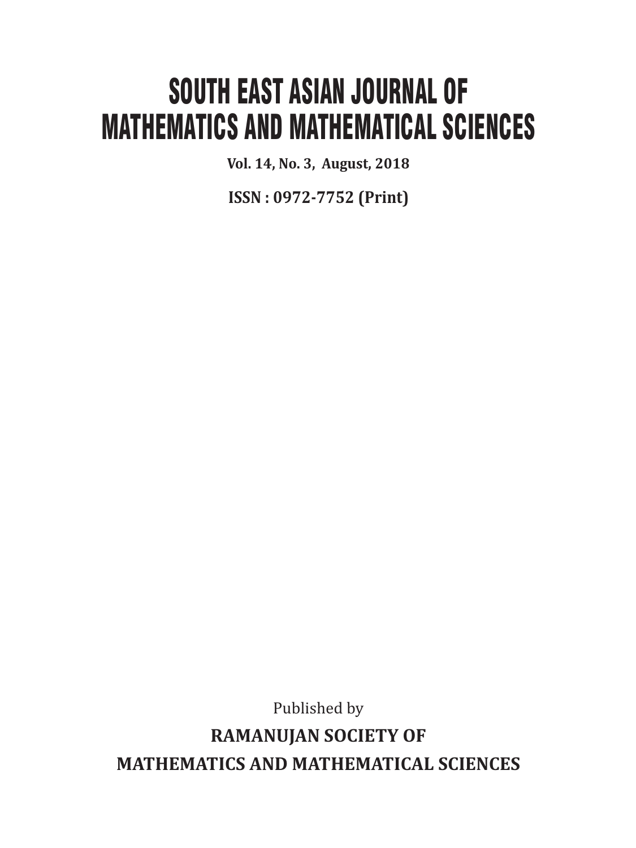# SOUTH EAST ASIAN JOURNAL OF MATHEMATICS AND MATHEMATICAL SCIENCES

**Vol. 14, No. 3, August, 2018**

**ISSN : 0972-7752 (Print)**

Published by

**RAMANUJAN SOCIETY OF MATHEMATICS AND MATHEMATICAL SCIENCES**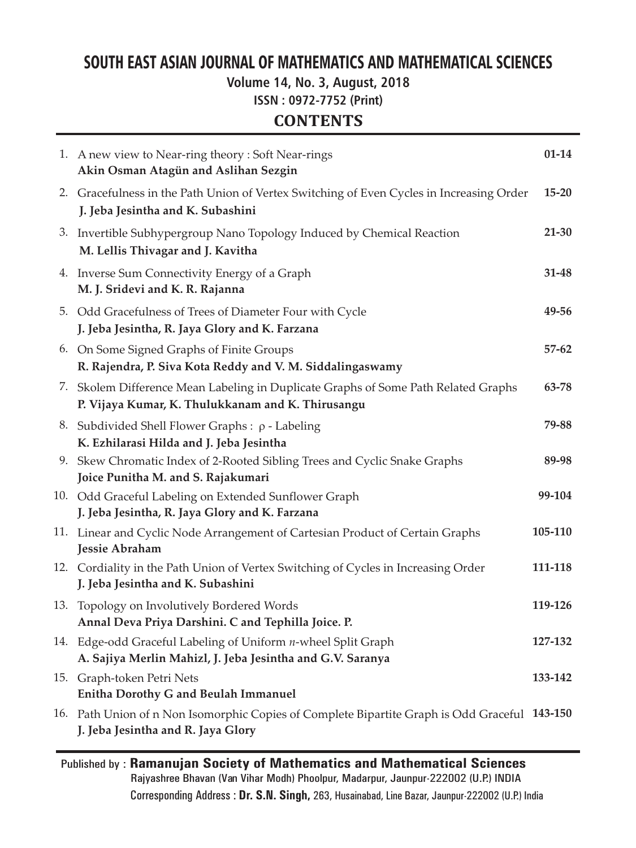## SOUTH EAST ASIAN JOURNAL OF MATHEMATICS AND MATHEMATICAL SCIENCES

**Volume 14, No. 3, August, 2018**

**ISSN : 0972-7752 (Print)**

## **CONTENTS**

| 1. A new view to Near-ring theory: Soft Near-rings<br>Akin Osman Atagün and Aslihan Sezgin                                              | $01 - 14$ |
|-----------------------------------------------------------------------------------------------------------------------------------------|-----------|
| 2. Gracefulness in the Path Union of Vertex Switching of Even Cycles in Increasing Order<br>J. Jeba Jesintha and K. Subashini           | $15 - 20$ |
| 3. Invertible Subhypergroup Nano Topology Induced by Chemical Reaction<br>M. Lellis Thivagar and J. Kavitha                             | $21 - 30$ |
| 4. Inverse Sum Connectivity Energy of a Graph<br>M. J. Sridevi and K. R. Rajanna                                                        | 31-48     |
| 5. Odd Gracefulness of Trees of Diameter Four with Cycle<br>J. Jeba Jesintha, R. Jaya Glory and K. Farzana                              | 49-56     |
| 6. On Some Signed Graphs of Finite Groups<br>R. Rajendra, P. Siva Kota Reddy and V. M. Siddalingaswamy                                  | $57 - 62$ |
| 7. Skolem Difference Mean Labeling in Duplicate Graphs of Some Path Related Graphs<br>P. Vijaya Kumar, K. Thulukkanam and K. Thirusangu | 63-78     |
| 8. Subdivided Shell Flower Graphs : ρ - Labeling<br>K. Ezhilarasi Hilda and J. Jeba Jesintha                                            | 79-88     |
| 9. Skew Chromatic Index of 2-Rooted Sibling Trees and Cyclic Snake Graphs<br>Joice Punitha M. and S. Rajakumari                         | 89-98     |
| 10. Odd Graceful Labeling on Extended Sunflower Graph<br>J. Jeba Jesintha, R. Jaya Glory and K. Farzana                                 | 99-104    |
| 11. Linear and Cyclic Node Arrangement of Cartesian Product of Certain Graphs<br>Jessie Abraham                                         | 105-110   |
| 12. Cordiality in the Path Union of Vertex Switching of Cycles in Increasing Order<br>J. Jeba Jesintha and K. Subashini                 | 111-118   |
| 13. Topology on Involutively Bordered Words<br>Annal Deva Priya Darshini. C and Tephilla Joice. P.                                      | 119-126   |
| 14. Edge-odd Graceful Labeling of Uniform n-wheel Split Graph<br>A. Sajiya Merlin Mahizl, J. Jeba Jesintha and G.V. Saranya             | 127-132   |
| 15. Graph-token Petri Nets<br>Enitha Dorothy G and Beulah Immanuel                                                                      | 133-142   |
| 16. Path Union of n Non Isomorphic Copies of Complete Bipartite Graph is Odd Graceful 143-150<br>J. Jeba Jesintha and R. Jaya Glory     |           |

Published by : **Ramanujan Society of Mathematics and Mathematical Sciences** Rajyashree Bhavan (Van Vihar Modh) Phoolpur, Madarpur, Jaunpur-222002 (U.P.) INDIA Corresponding Address : **Dr. S.N. Singh,** 263, Husainabad, Line Bazar, Jaunpur-222002 (U.P.) India